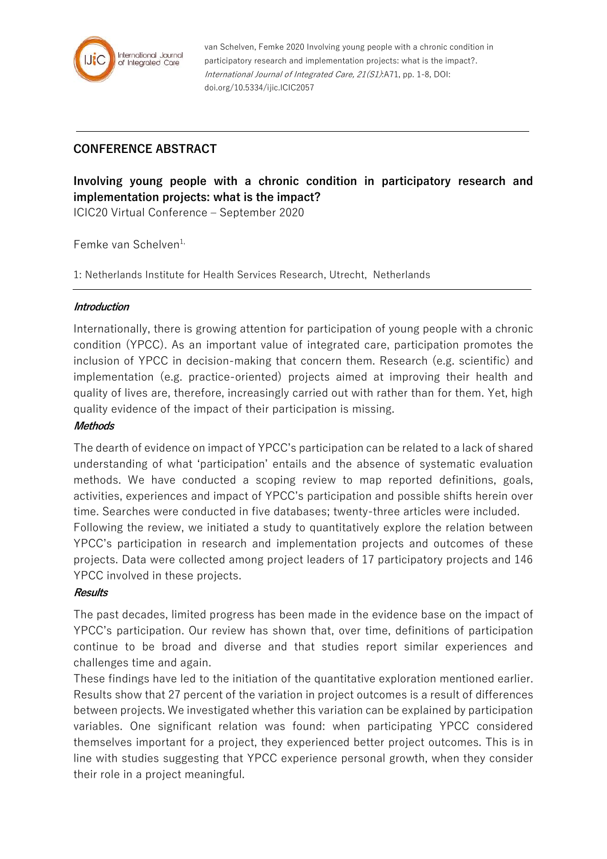

van Schelven, Femke 2020 Involving young people with a chronic condition in participatory research and implementation projects: what is the impact?. International Journal of Integrated Care, 21(S1):A71, pp. 1-8, DOI: doi.org/10.5334/ijic.ICIC2057

# **CONFERENCE ABSTRACT**

**Involving young people with a chronic condition in participatory research and implementation projects: what is the impact?**

ICIC20 Virtual Conference – September 2020

Femke van Schelven1,

1: Netherlands Institute for Health Services Research, Utrecht, Netherlands

### **Introduction**

Internationally, there is growing attention for participation of young people with a chronic condition (YPCC). As an important value of integrated care, participation promotes the inclusion of YPCC in decision-making that concern them. Research (e.g. scientific) and implementation (e.g. practice-oriented) projects aimed at improving their health and quality of lives are, therefore, increasingly carried out with rather than for them. Yet, high quality evidence of the impact of their participation is missing.

# **Methods**

The dearth of evidence on impact of YPCC's participation can be related to a lack of shared understanding of what 'participation' entails and the absence of systematic evaluation methods. We have conducted a scoping review to map reported definitions, goals, activities, experiences and impact of YPCC's participation and possible shifts herein over time. Searches were conducted in five databases; twenty-three articles were included. Following the review, we initiated a study to quantitatively explore the relation between

YPCC's participation in research and implementation projects and outcomes of these projects. Data were collected among project leaders of 17 participatory projects and 146 YPCC involved in these projects.

#### **Results**

The past decades, limited progress has been made in the evidence base on the impact of YPCC's participation. Our review has shown that, over time, definitions of participation continue to be broad and diverse and that studies report similar experiences and challenges time and again.

These findings have led to the initiation of the quantitative exploration mentioned earlier. Results show that 27 percent of the variation in project outcomes is a result of differences between projects. We investigated whether this variation can be explained by participation variables. One significant relation was found: when participating YPCC considered themselves important for a project, they experienced better project outcomes. This is in line with studies suggesting that YPCC experience personal growth, when they consider their role in a project meaningful.